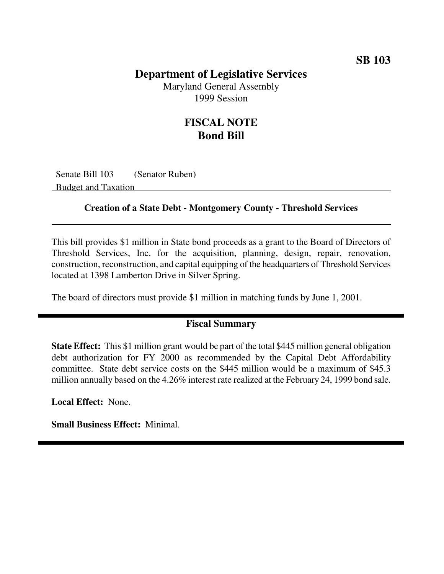### **Department of Legislative Services**

Maryland General Assembly 1999 Session

## **FISCAL NOTE Bond Bill**

Senate Bill 103 (Senator Ruben) Budget and Taxation

#### **Creation of a State Debt - Montgomery County - Threshold Services**

This bill provides \$1 million in State bond proceeds as a grant to the Board of Directors of Threshold Services, Inc. for the acquisition, planning, design, repair, renovation, construction, reconstruction, and capital equipping of the headquarters of Threshold Services located at 1398 Lamberton Drive in Silver Spring.

The board of directors must provide \$1 million in matching funds by June 1, 2001.

#### **Fiscal Summary**

**State Effect:** This \$1 million grant would be part of the total \$445 million general obligation debt authorization for FY 2000 as recommended by the Capital Debt Affordability committee. State debt service costs on the \$445 million would be a maximum of \$45.3 million annually based on the 4.26% interest rate realized at the February 24, 1999 bond sale.

**Local Effect:** None.

**Small Business Effect:** Minimal.